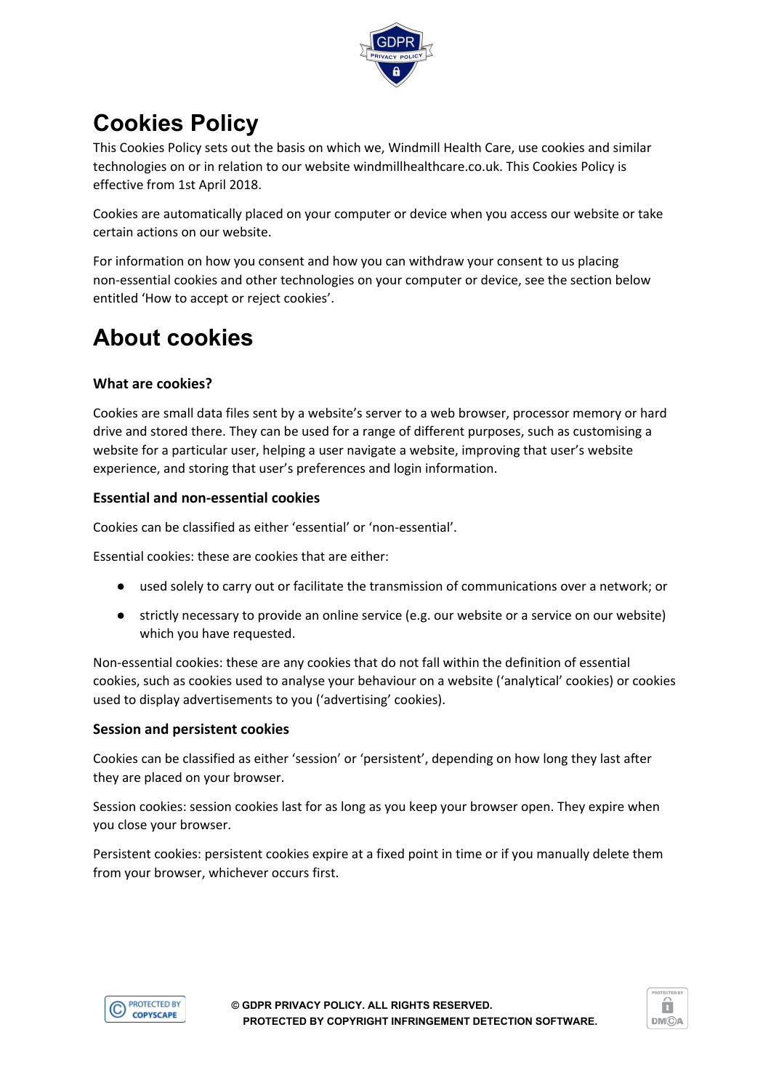

# **Cookies Policy**

This Cookies Policy sets out the basis on which we, Windmill Health Care, use cookies and similar technologies on or in relation to our website windmillhealthcare.co.uk. This Cookies Policy is effective from 1st April 2018.

Cookies are automatically placed on your computer or device when you access our website or take certain actions on our website.

For information on how you consent and how you can withdraw your consent to us placing non-essential cookies and other technologies on your computer or device, see the section below entitled 'How to accept or reject cookies'.

# **About cookies**

## **What are cookies?**

Cookies are small data files sent by a website's server to a web browser, processor memory or hard drive and stored there. They can be used for a range of different purposes, such as customising a website for a particular user, helping a user navigate a website, improving that user's website experience, and storing that user's preferences and login information.

## **Essential and non-essential cookies**

Cookies can be classified as either 'essential' or 'non-essential'.

Essential cookies: these are cookies that are either:

- used solely to carry out or facilitate the transmission of communications over a network; or
- strictly necessary to provide an online service (e.g. our website or a service on our website) which you have requested.

Non-essential cookies: these are any cookies that do not fall within the definition of essential cookies, such as cookies used to analyse your behaviour on a website ('analytical' cookies) or cookies used to display advertisements to you ('advertising' cookies).

#### **Session and persistent cookies**

Cookies can be classified as either 'session' or 'persistent', depending on how long they last after they are placed on your browser.

Session cookies: session cookies last for as long as you keep your browser open. They expire when you close your browser.

Persistent cookies: persistent cookies expire at a fixed point in time or if you manually delete them from your browser, whichever occurs first.



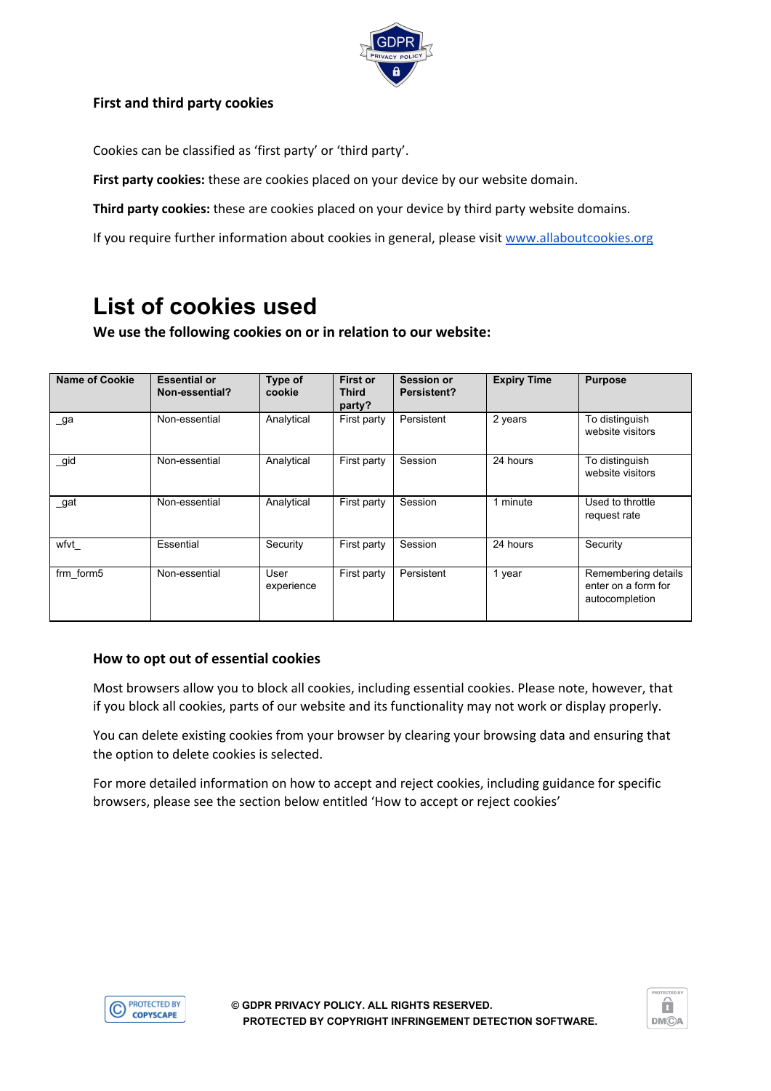

## **First and third party cookies**

Cookies can be classified as 'first party' or 'third party'.

**First party cookies:** these are cookies placed on your device by our website domain.

**Third party cookies:** these are cookies placed on your device by third party website domains.

If you require further information about cookies in general, please visit [www.allaboutcookies.org](http://www.allaboutcookies.org/)

## **List of cookies used**

**We use the following cookies on or in relation to our website:**

| <b>Name of Cookie</b> | <b>Essential or</b><br>Non-essential? | Type of<br>cookie  | First or<br><b>Third</b><br>party? | <b>Session or</b><br>Persistent? | <b>Expiry Time</b> | <b>Purpose</b>                                               |
|-----------------------|---------------------------------------|--------------------|------------------------------------|----------------------------------|--------------------|--------------------------------------------------------------|
| _ga                   | Non-essential                         | Analytical         | First party                        | Persistent                       | 2 years            | To distinguish<br>website visitors                           |
| $\_$ gid              | Non-essential                         | Analytical         | First party                        | Session                          | 24 hours           | To distinguish<br>website visitors                           |
| _gat                  | Non-essential                         | Analytical         | First party                        | Session                          | 1 minute           | Used to throttle<br>request rate                             |
| wfvt                  | Essential                             | Security           | First party                        | Session                          | 24 hours           | Security                                                     |
| frm_form5             | Non-essential                         | User<br>experience | First party                        | Persistent                       | 1 year             | Remembering details<br>enter on a form for<br>autocompletion |

#### **How to opt out of essential cookies**

Most browsers allow you to block all cookies, including essential cookies. Please note, however, that if you block all cookies, parts of our website and its functionality may not work or display properly.

You can delete existing cookies from your browser by clearing your browsing data and ensuring that the option to delete cookies is selected.

For more detailed information on how to accept and reject cookies, including guidance for specific browsers, please see the section below entitled 'How to accept or reject cookies'



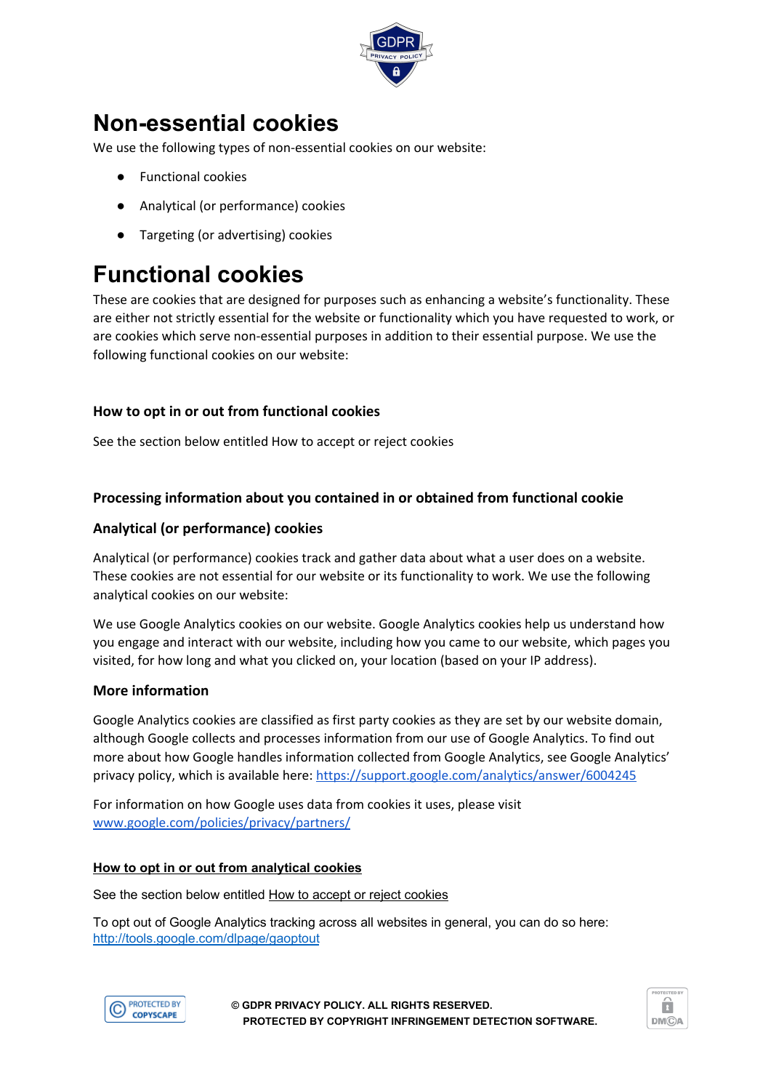

## **Non-essential cookies**

We use the following types of non-essential cookies on our website:

- **Functional cookies**
- Analytical (or performance) cookies
- Targeting (or advertising) cookies

# **Functional cookies**

These are cookies that are designed for purposes such as enhancing a website's functionality. These are either not strictly essential for the website or functionality which you have requested to work, or are cookies which serve non-essential purposes in addition to their essential purpose. We use the following functional cookies on our website:

## **How to opt in or out from functional cookies**

See the section below entitled How to accept or reject cookies

## **Processing information about you contained in or obtained from functional cookie**

## **Analytical (or performance) cookies**

Analytical (or performance) cookies track and gather data about what a user does on a website. These cookies are not essential for our website or its functionality to work. We use the following analytical cookies on our website:

We use Google Analytics cookies on our website. Google Analytics cookies help us understand how you engage and interact with our website, including how you came to our website, which pages you visited, for how long and what you clicked on, your location (based on your IP address).

#### **More information**

Google Analytics cookies are classified as first party cookies as they are set by our website domain, although Google collects and processes information from our use of Google Analytics. To find out more about how Google handles information collected from Google Analytics, see Google Analytics' privacy policy, which is available here: <https://support.google.com/analytics/answer/6004245>

For information on how Google uses data from cookies it uses, please visit [www.google.com/policies/privacy/partners/](https://www.google.com/policies/privacy/partners/)

#### **How to opt in or out from analytical cookies**

See the section below entitled How to accept or reject cookies

To opt out of Google Analytics tracking across all websites in general, you can do so here: <http://tools.google.com/dlpage/gaoptout>



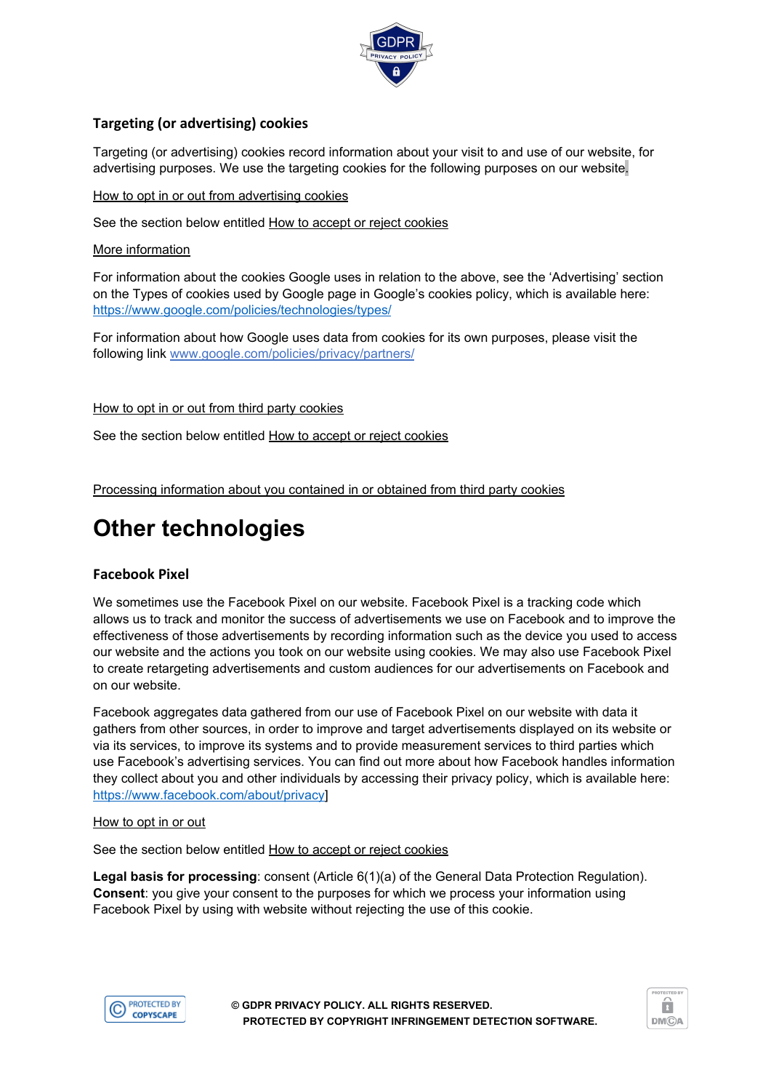

## **Targeting (or advertising) cookies**

Targeting (or advertising) cookies record information about your visit to and use of our website, for advertising purposes. We use the targeting cookies for the following purposes on our website.

#### How to opt in or out from advertising cookies

See the section below entitled How to accept or reject cookies

#### More information

For information about the cookies Google uses in relation to the above, see the 'Advertising' section on the Types of cookies used by Google page in Google's cookies policy, which is available here: <https://www.google.com/policies/technologies/types/>

For information about how Google uses data from cookies for its own purposes, please visit the following link [www.google.com/policies/privacy/partners/](https://www.google.com/policies/privacy/partners/)

#### How to opt in or out from third party cookies

See the section below entitled How to accept or reject cookies

Processing information about you contained in or obtained from third party cookies

## **Other technologies**

#### **Facebook Pixel**

We sometimes use the Facebook Pixel on our website. Facebook Pixel is a tracking code which allows us to track and monitor the success of advertisements we use on Facebook and to improve the effectiveness of those advertisements by recording information such as the device you used to access our website and the actions you took on our website using cookies. We may also use Facebook Pixel to create retargeting advertisements and custom audiences for our advertisements on Facebook and on our website.

Facebook aggregates data gathered from our use of Facebook Pixel on our website with data it gathers from other sources, in order to improve and target advertisements displayed on its website or via its services, to improve its systems and to provide measurement services to third parties which use Facebook's advertising services. You can find out more about how Facebook handles information they collect about you and other individuals by accessing their privacy policy, which is available here: <https://www.facebook.com/about/privacy>]

#### How to opt in or out

See the section below entitled How to accept or reject cookies

**Legal basis for processing**: consent (Article 6(1)(a) of the General Data Protection Regulation). **Consent**: you give your consent to the purposes for which we process your information using Facebook Pixel by using with website without rejecting the use of this cookie.



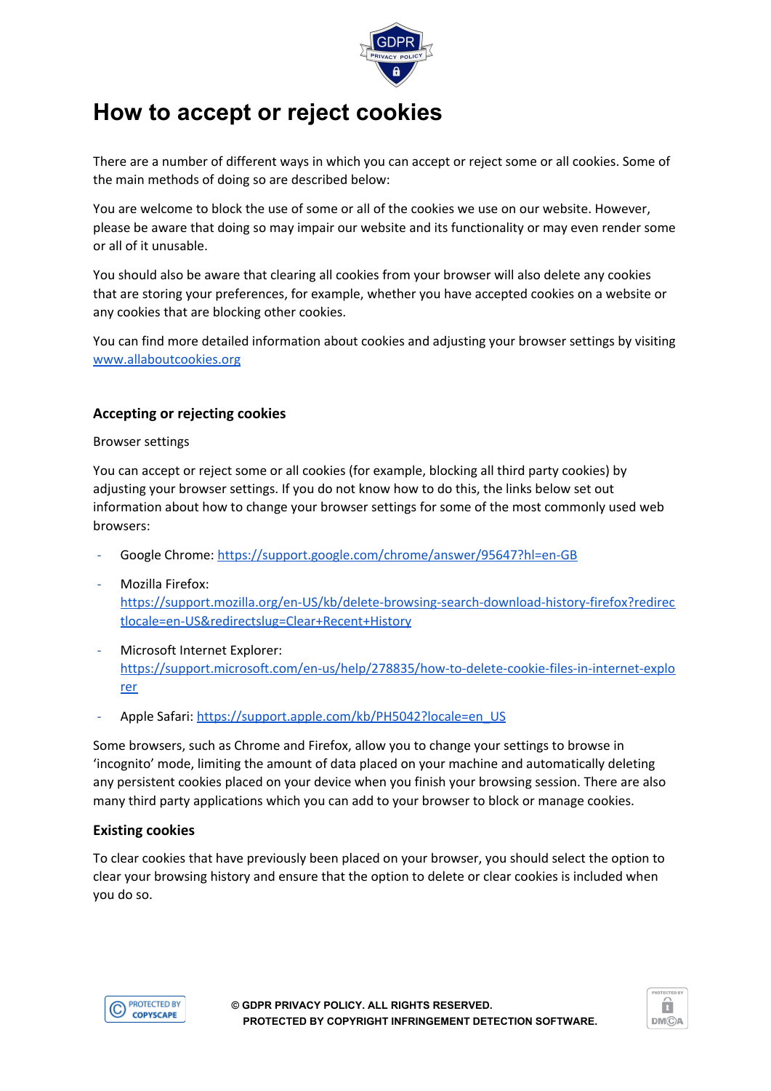

## **How to accept or reject cookies**

There are a number of different ways in which you can accept or reject some or all cookies. Some of the main methods of doing so are described below:

You are welcome to block the use of some or all of the cookies we use on our website. However, please be aware that doing so may impair our website and its functionality or may even render some or all of it unusable.

You should also be aware that clearing all cookies from your browser will also delete any cookies that are storing your preferences, for example, whether you have accepted cookies on a website or any cookies that are blocking other cookies.

You can find more detailed information about cookies and adjusting your browser settings by visiting [www.allaboutcookies.org](http://www.allaboutcookies.org/)

## **Accepting or rejecting cookies**

Browser settings

You can accept or reject some or all cookies (for example, blocking all third party cookies) by adjusting your browser settings. If you do not know how to do this, the links below set out information about how to change your browser settings for some of the most commonly used web browsers:

- Google Chrome: <https://support.google.com/chrome/answer/95647?hl=en-GB>
- Mozilla Firefox: [https://support.mozilla.org/en-US/kb/delete-browsing-search-download-history-firefox?redirec](https://support.mozilla.org/en-US/kb/delete-browsing-search-download-history-firefox?redirectlocale=en-US&redirectslug=Clear+Recent+History) [tlocale=en-US&redirectslug=Clear+Recent+History](https://support.mozilla.org/en-US/kb/delete-browsing-search-download-history-firefox?redirectlocale=en-US&redirectslug=Clear+Recent+History)
- Microsoft Internet Explorer: [https://support.microsoft.com/en-us/help/278835/how-to-delete-cookie-files-in-internet-explo](https://support.microsoft.com/en-us/help/278835/how-to-delete-cookie-files-in-internet-explorer) [rer](https://support.microsoft.com/en-us/help/278835/how-to-delete-cookie-files-in-internet-explorer)
- Apple Safari: [https://support.apple.com/kb/PH5042?locale=en\\_US](https://support.apple.com/kb/PH5042?locale=en_US)

Some browsers, such as Chrome and Firefox, allow you to change your settings to browse in 'incognito' mode, limiting the amount of data placed on your machine and automatically deleting any persistent cookies placed on your device when you finish your browsing session. There are also many third party applications which you can add to your browser to block or manage cookies.

#### **Existing cookies**

To clear cookies that have previously been placed on your browser, you should select the option to clear your browsing history and ensure that the option to delete or clear cookies is included when you do so.